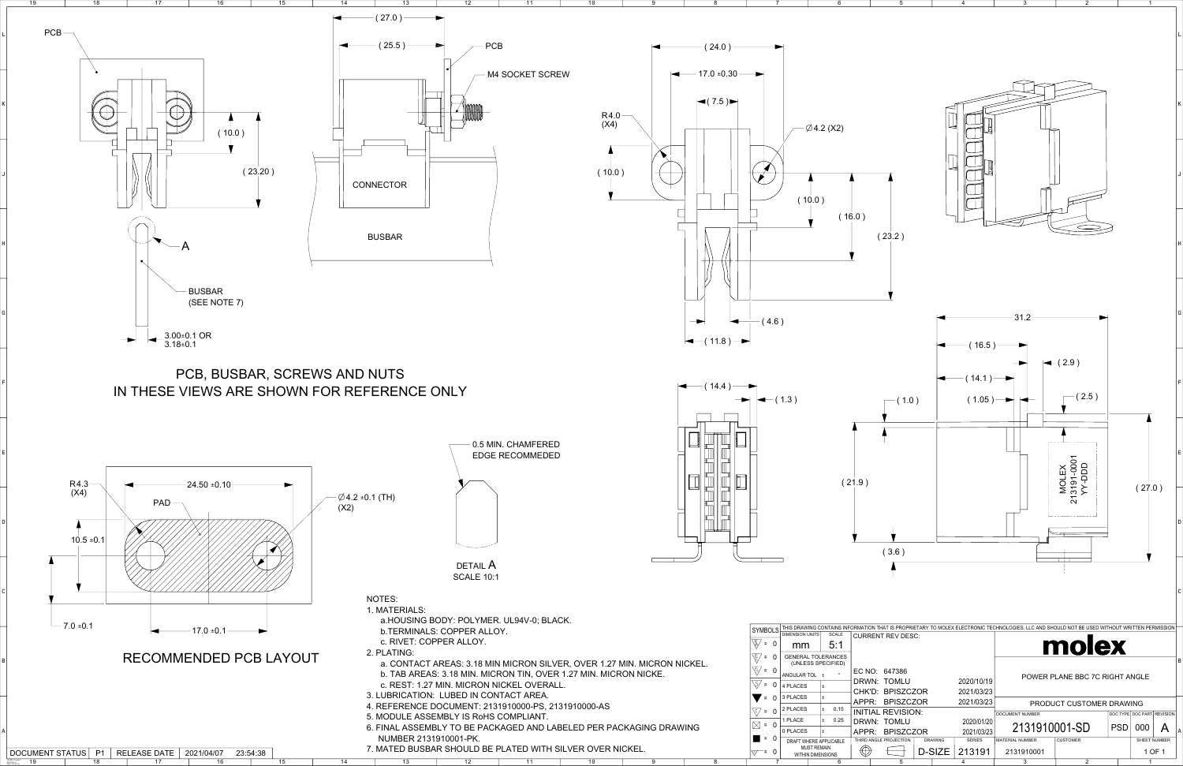DATE: 2018/01/18

| $\emptyset$ 4.2 (X2)                                                                                                                                                                                                                                                                      |                                                                                                                          |                                                                                                                 |                                                                                          |                                                               |                                                                                          | $\sf K$           |
|-------------------------------------------------------------------------------------------------------------------------------------------------------------------------------------------------------------------------------------------------------------------------------------------|--------------------------------------------------------------------------------------------------------------------------|-----------------------------------------------------------------------------------------------------------------|------------------------------------------------------------------------------------------|---------------------------------------------------------------|------------------------------------------------------------------------------------------|-------------------|
| (10.0)                                                                                                                                                                                                                                                                                    |                                                                                                                          |                                                                                                                 |                                                                                          |                                                               |                                                                                          | J                 |
| (16.0)                                                                                                                                                                                                                                                                                    | (23.2)                                                                                                                   |                                                                                                                 |                                                                                          |                                                               |                                                                                          | $\sf H$           |
|                                                                                                                                                                                                                                                                                           |                                                                                                                          | (16.5)                                                                                                          | 31.2                                                                                     |                                                               |                                                                                          | ${\mathsf G}$     |
| 3)                                                                                                                                                                                                                                                                                        | (1.0)                                                                                                                    | (14.1)<br>(1.05)                                                                                                |                                                                                          | $\leftarrow$ (2.9)<br>(2.5)                                   |                                                                                          | $\mathsf F$       |
| (21.9)                                                                                                                                                                                                                                                                                    |                                                                                                                          |                                                                                                                 |                                                                                          | MOLEX<br>13191-0001<br>YY-DDD                                 | (27.0)                                                                                   | $\mathsf E$       |
|                                                                                                                                                                                                                                                                                           | (3.6)                                                                                                                    |                                                                                                                 |                                                                                          | $\overline{2}$                                                |                                                                                          | D                 |
|                                                                                                                                                                                                                                                                                           |                                                                                                                          |                                                                                                                 |                                                                                          |                                                               |                                                                                          | $\mathsf C$       |
| IIS DRAWING CONTAINS INFORMATION THAT IS PROPRIETARY TO MOLEX ELECTRONIC TECHNOLOGIES, LLC AND SHOULD NOT BE USED WITHOUT WRITTEN PERMISSION<br><b>MENSION UNITS</b><br>SCALE<br>5:1<br>mm<br><b>SENERAL TOLERANCES</b><br>(UNLESS SPECIFIED)<br><b>NGULAR TOL</b> ±<br>$\circ$<br>PLACES | <b>CURRENT REV DESC:</b><br>EC NO: 647386<br>DRWN: TOMLU<br>CHK'D: BPISZCZOR                                             | 2020/10/19<br>2021/03/23                                                                                        |                                                                                          | molex<br>POWER PLANE BBC 7C RIGHT ANGLE                       |                                                                                          | B                 |
| PLACES<br>L±<br>PLACES<br>0.15<br>$\pm$<br>PLACE<br>0.25<br>$\pm$<br><b>PLACES</b><br>L±<br>DRAFT WHERE APPLICABLE<br><b>MUST REMAIN</b><br><b>WITHIN DIMENSIONS</b><br>$6\phantom{1}$                                                                                                    | APPR: BPISZCZOR<br><b>INITIAL REVISION:</b><br>DRWN: TOMLU<br>APPR: BPISZCZOR<br>THIRD ANGLE PROJECTION<br>$\oplus$<br>5 | 2021/03/23<br>2020/01/20<br>2021/03/23<br><b>SERIES</b><br><b>DRAWING</b><br>D-SIZE<br>213191<br>$\overline{4}$ | DOCUMENT NUMBER<br>2131910001-SD<br><b>MATERIAL NUMBER</b><br>2131910001<br>$\mathbf{3}$ | PRODUCT CUSTOMER DRAWING<br><b>CUSTOMER</b><br>$\overline{2}$ | DOC TYPE DOC PART REVISION<br><b>PSD</b><br>000<br>SHEET NUMBER<br>1 OF 1<br>$\mathbf 1$ | $\mathsf{A}$<br>A |



| UUUUNLIII. ZIUIJIUUUU U, Z |  |
|----------------------------|--|
| FMBI Y IS RoHS COMPI IANT  |  |

1

2

3

4

5

10 11 12